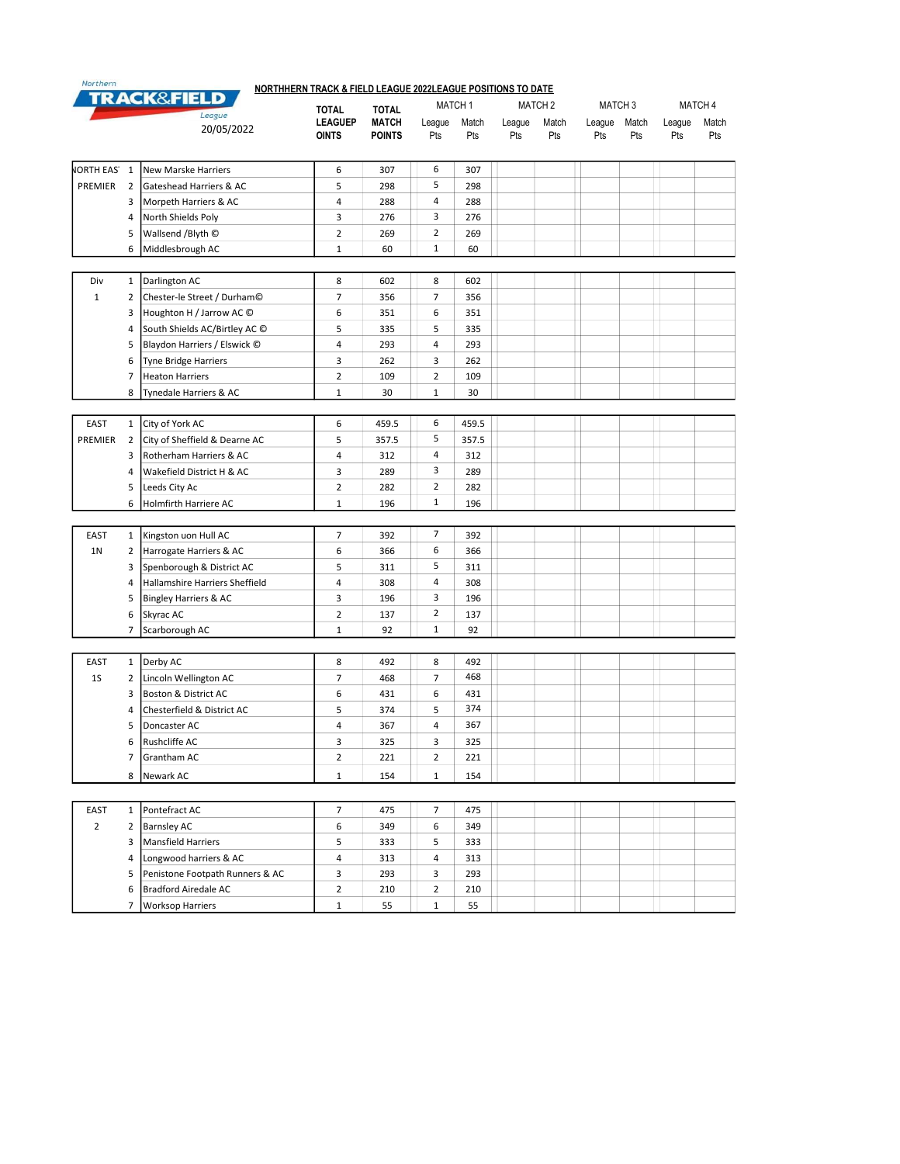| Northern                         |                |                                 | NORTHHERN TRACK & FIELD LEAGUE 2022LEAGUE POSITIONS TO DATE |                              |                    |       |                    |       |                    |     |         |       |  |
|----------------------------------|----------------|---------------------------------|-------------------------------------------------------------|------------------------------|--------------------|-------|--------------------|-------|--------------------|-----|---------|-------|--|
| <b>TRACK&amp;FIELD</b><br>League |                |                                 |                                                             |                              | MATCH <sub>1</sub> |       | MATCH <sub>2</sub> |       | MATCH <sub>3</sub> |     | MATCH 4 |       |  |
|                                  |                |                                 | <b>TOTAL</b><br><b>LEAGUEP</b>                              | <b>TOTAL</b><br><b>MATCH</b> | League             | Match | League             | Match | League<br>Match    |     | League  | Match |  |
|                                  |                | 20/05/2022                      | <b>OINTS</b>                                                | <b>POINTS</b>                | Pts                | Pts   | Pts                | Pts   | Pts                | Pts | Pts     | Pts   |  |
| <b>NORTH EAS</b> 1               |                | New Marske Harriers             | 6                                                           | 307                          | 6                  | 307   |                    |       |                    |     |         |       |  |
| PREMIER                          | 2              | Gateshead Harriers & AC         | 5                                                           | 298                          | 5                  | 298   |                    |       |                    |     |         |       |  |
|                                  | 3              | Morpeth Harriers & AC           | 4                                                           | 288                          | 4                  | 288   |                    |       |                    |     |         |       |  |
|                                  | 4              | North Shields Poly              | 3                                                           | 276                          | 3                  | 276   |                    |       |                    |     |         |       |  |
|                                  | 5              | Wallsend /Blyth ©               | $\overline{2}$                                              | 269                          | $\overline{2}$     | 269   |                    |       |                    |     |         |       |  |
|                                  | 6              | Middlesbrough AC                | $\mathbf 1$                                                 | 60                           | $\mathbf{1}$       | 60    |                    |       |                    |     |         |       |  |
|                                  |                |                                 |                                                             |                              |                    |       |                    |       |                    |     |         |       |  |
| Div                              | $\mathbf{1}$   | Darlington AC                   | 8                                                           | 602                          | 8                  | 602   |                    |       |                    |     |         |       |  |
| $\mathbf{1}$                     | $\overline{2}$ | Chester-le Street / Durham©     | $\overline{7}$                                              | 356                          | $\overline{7}$     | 356   |                    |       |                    |     |         |       |  |
|                                  | 3              | Houghton H / Jarrow AC ©        | 6                                                           | 351                          | 6                  | 351   |                    |       |                    |     |         |       |  |
|                                  | 4              | South Shields AC/Birtley AC CO  | 5                                                           | 335                          | 5                  | 335   |                    |       |                    |     |         |       |  |
|                                  | 5              | Blaydon Harriers / Elswick ©    | 4                                                           | 293                          | $\overline{4}$     | 293   |                    |       |                    |     |         |       |  |
|                                  | 6              | <b>Tyne Bridge Harriers</b>     | 3                                                           | 262                          | 3                  | 262   |                    |       |                    |     |         |       |  |
|                                  | 7              | <b>Heaton Harriers</b>          | $\overline{\mathbf{c}}$                                     | 109                          | $\overline{2}$     | 109   |                    |       |                    |     |         |       |  |
|                                  | 8              | Tynedale Harriers & AC          | $\mathbf 1$                                                 | 30                           | $\mathbf{1}$       | 30    |                    |       |                    |     |         |       |  |
|                                  |                |                                 |                                                             |                              |                    |       |                    |       |                    |     |         |       |  |
| EAST                             | $\mathbf{1}$   | City of York AC                 | 6                                                           | 459.5                        | 6                  | 459.5 |                    |       |                    |     |         |       |  |
| PREMIER                          | 2              | City of Sheffield & Dearne AC   | 5                                                           | 357.5                        | 5                  | 357.5 |                    |       |                    |     |         |       |  |
|                                  | 3              | Rotherham Harriers & AC         | $\sqrt{4}$                                                  | 312                          | 4                  | 312   |                    |       |                    |     |         |       |  |
|                                  | 4              | Wakefield District H & AC       | 3                                                           | 289                          | 3                  | 289   |                    |       |                    |     |         |       |  |
|                                  | 5              | Leeds City Ac                   | $\overline{2}$                                              | 282                          | $\overline{2}$     | 282   |                    |       |                    |     |         |       |  |
|                                  | 6              | Holmfirth Harriere AC           | $\mathbf 1$                                                 | 196                          | $\mathbf{1}$       | 196   |                    |       |                    |     |         |       |  |
|                                  |                |                                 |                                                             |                              |                    |       |                    |       |                    |     |         |       |  |
| <b>EAST</b>                      | $1\,$          | Kingston uon Hull AC            | $\overline{7}$                                              | 392                          | $\overline{7}$     | 392   |                    |       |                    |     |         |       |  |
| 1 <sub>N</sub>                   | $\overline{2}$ | Harrogate Harriers & AC         | 6                                                           | 366                          | 6                  | 366   |                    |       |                    |     |         |       |  |
|                                  | 3              | Spenborough & District AC       | 5                                                           | 311                          | 5                  | 311   |                    |       |                    |     |         |       |  |
|                                  | 4              | Hallamshire Harriers Sheffield  | $\sqrt{4}$                                                  | 308                          | 4                  | 308   |                    |       |                    |     |         |       |  |
|                                  | 5              | Bingley Harriers & AC           | 3                                                           | 196                          | 3                  | 196   |                    |       |                    |     |         |       |  |
|                                  | 6              | Skyrac AC                       | $\overline{2}$                                              | 137                          | $\overline{2}$     | 137   |                    |       |                    |     |         |       |  |
|                                  | $\overline{7}$ | Scarborough AC                  | $\mathbf 1$                                                 | 92                           | $\mathbf{1}$       | 92    |                    |       |                    |     |         |       |  |
|                                  |                |                                 |                                                             |                              |                    |       |                    |       |                    |     |         |       |  |
| EAST                             | $\mathbf{1}$   | Derby AC                        | 8                                                           | 492                          | 8                  | 492   |                    |       |                    |     |         |       |  |
| 1S                               | 2              | Lincoln Wellington AC           | $\overline{7}$                                              | 468                          | $\overline{7}$     | 468   |                    |       |                    |     |         |       |  |
|                                  | 3              | Boston & District AC            | 6                                                           | 431                          | 6                  | 431   |                    |       |                    |     |         |       |  |
|                                  | 4              | Chesterfield & District AC      | 5                                                           | 374                          | 5                  | 374   |                    |       |                    |     |         |       |  |
|                                  | 5              | Doncaster AC                    | 4                                                           | 367                          | 4                  | 367   |                    |       |                    |     |         |       |  |
|                                  | 6              | Rushcliffe AC                   | 3                                                           | 325                          | 3                  | 325   |                    |       |                    |     |         |       |  |
|                                  | 7              | Grantham AC                     | 2                                                           | 221                          | $\overline{2}$     | 221   |                    |       |                    |     |         |       |  |
|                                  | 8              | Newark AC                       | 1                                                           | 154                          | $\mathbf{1}$       | 154   |                    |       |                    |     |         |       |  |
|                                  |                |                                 |                                                             |                              |                    |       |                    |       |                    |     |         |       |  |
|                                  |                |                                 |                                                             |                              |                    |       |                    |       |                    |     |         |       |  |
| EAST                             | $\mathbf{1}$   | Pontefract AC                   | 7                                                           | 475                          | 7                  | 475   |                    |       |                    |     |         |       |  |
| $\overline{2}$                   | $\overline{2}$ | Barnsley AC                     | 6                                                           | 349                          | 6                  | 349   |                    |       |                    |     |         |       |  |
|                                  | 3              | Mansfield Harriers              | 5                                                           | 333                          | 5                  | 333   |                    |       |                    |     |         |       |  |
|                                  | 4              | Longwood harriers & AC          | 4                                                           | 313                          | 4                  | 313   |                    |       |                    |     |         |       |  |
|                                  | 5              | Penistone Footpath Runners & AC | 3                                                           | 293                          | 3                  | 293   |                    |       |                    |     |         |       |  |
|                                  | 6              | <b>Bradford Airedale AC</b>     | 2                                                           | 210                          | $\overline{2}$     | 210   |                    |       |                    |     |         |       |  |
|                                  | $\overline{7}$ | <b>Worksop Harriers</b>         | 1                                                           | 55                           | $\mathbf{1}$       | 55    |                    |       |                    |     |         |       |  |